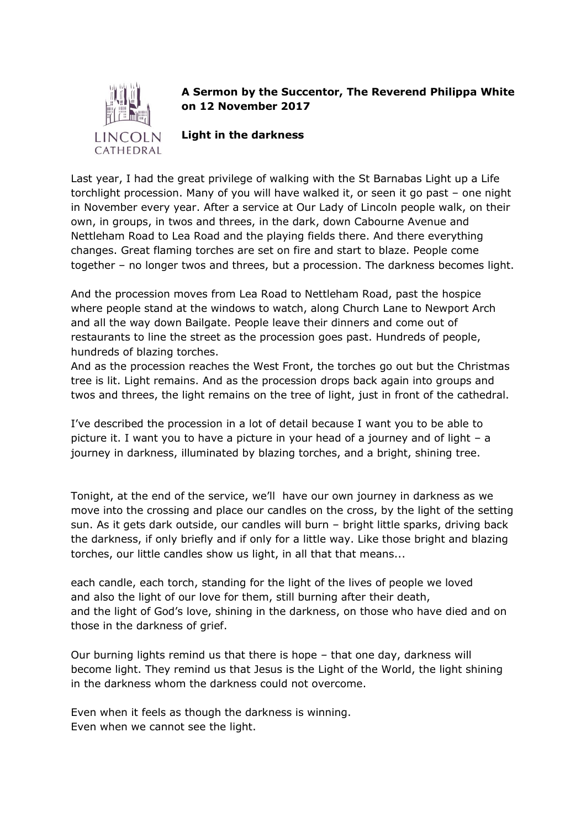

## **A Sermon by the Succentor, The Reverend Philippa White on 12 November 2017**

**Light in the darkness**

Last year, I had the great privilege of walking with the St Barnabas Light up a Life torchlight procession. Many of you will have walked it, or seen it go past – one night in November every year. After a service at Our Lady of Lincoln people walk, on their own, in groups, in twos and threes, in the dark, down Cabourne Avenue and Nettleham Road to Lea Road and the playing fields there. And there everything changes. Great flaming torches are set on fire and start to blaze. People come together – no longer twos and threes, but a procession. The darkness becomes light.

And the procession moves from Lea Road to Nettleham Road, past the hospice where people stand at the windows to watch, along Church Lane to Newport Arch and all the way down Bailgate. People leave their dinners and come out of restaurants to line the street as the procession goes past. Hundreds of people, hundreds of blazing torches.

And as the procession reaches the West Front, the torches go out but the Christmas tree is lit. Light remains. And as the procession drops back again into groups and twos and threes, the light remains on the tree of light, just in front of the cathedral.

I've described the procession in a lot of detail because I want you to be able to picture it. I want you to have a picture in your head of a journey and of light – a journey in darkness, illuminated by blazing torches, and a bright, shining tree.

Tonight, at the end of the service, we'll have our own journey in darkness as we move into the crossing and place our candles on the cross, by the light of the setting sun. As it gets dark outside, our candles will burn – bright little sparks, driving back the darkness, if only briefly and if only for a little way. Like those bright and blazing torches, our little candles show us light, in all that that means...

each candle, each torch, standing for the light of the lives of people we loved and also the light of our love for them, still burning after their death, and the light of God's love, shining in the darkness, on those who have died and on those in the darkness of grief.

Our burning lights remind us that there is hope – that one day, darkness will become light. They remind us that Jesus is the Light of the World, the light shining in the darkness whom the darkness could not overcome.

Even when it feels as though the darkness is winning. Even when we cannot see the light.